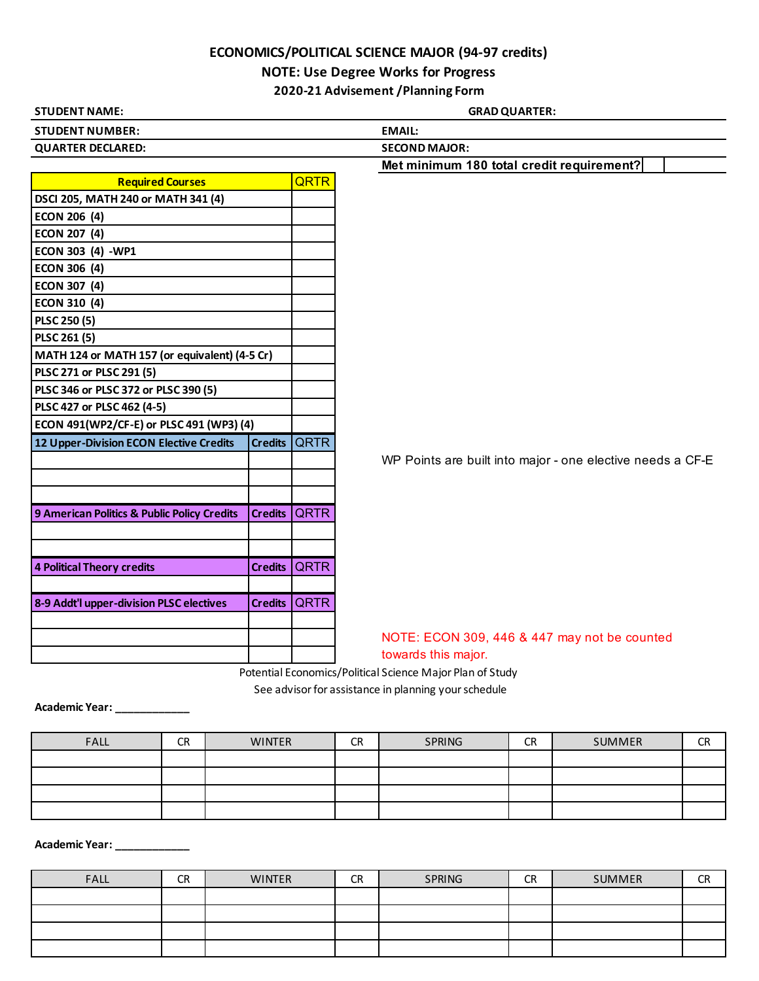## **ECONOMICS/POLITICAL SCIENCE MAJOR (94-97 credits)**

## **NOTE: Use Degree Works for Progress**

**2020-21 Advisement /Planning Form**

| <b>STUDENT NAME:</b>                          |                |              | <b>GRAD QUARTER:</b>                                       |  |  |  |  |
|-----------------------------------------------|----------------|--------------|------------------------------------------------------------|--|--|--|--|
| <b>STUDENT NUMBER:</b>                        |                |              | <b>EMAIL:</b>                                              |  |  |  |  |
| <b>QUARTER DECLARED:</b>                      |                |              | <b>SECOND MAJOR:</b>                                       |  |  |  |  |
|                                               |                |              | Met minimum 180 total credit requirement?                  |  |  |  |  |
| <b>Required Courses</b>                       |                | <b>QRTR</b>  |                                                            |  |  |  |  |
| DSCI 205, MATH 240 or MATH 341 (4)            |                |              |                                                            |  |  |  |  |
| <b>ECON 206 (4)</b>                           |                |              |                                                            |  |  |  |  |
| <b>ECON 207 (4)</b>                           |                |              |                                                            |  |  |  |  |
| ECON 303 (4) -WP1                             |                |              |                                                            |  |  |  |  |
| <b>ECON 306 (4)</b>                           |                |              |                                                            |  |  |  |  |
| <b>ECON 307 (4)</b>                           |                |              |                                                            |  |  |  |  |
| <b>ECON 310 (4)</b>                           |                |              |                                                            |  |  |  |  |
| PLSC 250 (5)                                  |                |              |                                                            |  |  |  |  |
| PLSC 261 (5)                                  |                |              |                                                            |  |  |  |  |
| MATH 124 or MATH 157 (or equivalent) (4-5 Cr) |                |              |                                                            |  |  |  |  |
| PLSC 271 or PLSC 291 (5)                      |                |              |                                                            |  |  |  |  |
| PLSC 346 or PLSC 372 or PLSC 390 (5)          |                |              |                                                            |  |  |  |  |
| PLSC 427 or PLSC 462 (4-5)                    |                |              |                                                            |  |  |  |  |
| ECON 491(WP2/CF-E) or PLSC 491 (WP3) (4)      |                |              |                                                            |  |  |  |  |
| 12 Upper-Division ECON Elective Credits       | <b>Credits</b> | <b>QRTR</b>  |                                                            |  |  |  |  |
|                                               |                |              | WP Points are built into major - one elective needs a CF-E |  |  |  |  |
|                                               |                |              |                                                            |  |  |  |  |
|                                               |                |              |                                                            |  |  |  |  |
| 9 American Politics & Public Policy Credits   |                | Credits QRTR |                                                            |  |  |  |  |
|                                               |                |              |                                                            |  |  |  |  |
|                                               |                |              |                                                            |  |  |  |  |
| <b>4 Political Theory credits</b>             | <b>Credits</b> | <b>QRTR</b>  |                                                            |  |  |  |  |
|                                               |                |              |                                                            |  |  |  |  |
| 8-9 Addt'l upper-division PLSC electives      | <b>Credits</b> | <b>IQRTR</b> |                                                            |  |  |  |  |
|                                               |                |              |                                                            |  |  |  |  |
|                                               |                |              | NOTE: ECON 309, 446 & 447 may not be counted               |  |  |  |  |
|                                               |                |              | towards this major.                                        |  |  |  |  |
|                                               |                |              | Potential Economics/Political Science Major Plan of Study  |  |  |  |  |
|                                               |                |              | See advisor for assistance in planning your schedule       |  |  |  |  |

**Academic Year: \_\_\_\_\_\_\_\_\_\_\_\_**

| <b>FALL</b> | <b>CR</b> | <b>WINTER</b> | <b>CR</b> | <b>SPRING</b> | <b>CR</b> | SUMMER | CD<br>יוש |
|-------------|-----------|---------------|-----------|---------------|-----------|--------|-----------|
|             |           |               |           |               |           |        |           |
|             |           |               |           |               |           |        |           |
|             |           |               |           |               |           |        |           |
|             |           |               |           |               |           |        |           |

**Academic Year: \_\_\_\_\_\_\_\_\_\_\_\_**

| <b>FALL</b> | CR | <b>WINTER</b> | <b>CR</b> | SPRING | <b>CR</b> | SUMMER | <b>CR</b> |
|-------------|----|---------------|-----------|--------|-----------|--------|-----------|
|             |    |               |           |        |           |        |           |
|             |    |               |           |        |           |        |           |
|             |    |               |           |        |           |        |           |
|             |    |               |           |        |           |        |           |